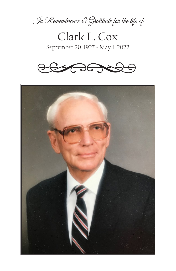

Clark L. Cox September 20, 1927 - May 1, 2022



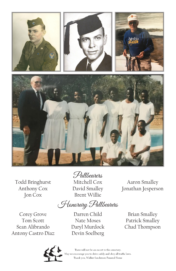

Todd Bringhurst Anthony Cox Jon Cox

Mitchell Cox David Smalley Brent Willie Pallbearers

Honorary Pallbearers

Corey Grove Tom Scott Sean Alibrando Antony Castro Diaz

Darren Child Nate Moses Daryl Murdock Devin Soelberg

Aaron Smalley Jonathan Jesperson

Brian Smalley Patrick Smalley Chad Thompson



There will not be an escort to the cemetery. we encourage you to drive safely and obey all traffic laws. Thank you, Walker Sanderson Funeral Home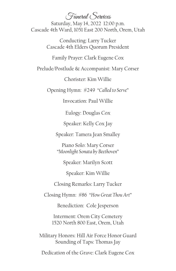Funeral Services

Saturday, May 14, 2022 12:00 p.m. Cascade 4th Ward, 1051 East 200 North, Orem, Utah

> Conducting: Larry Tucker Cascade 4th Elders Quorum President

Family Prayer: Clark Eugene Cox

Prelude/Postlude & Accompanist: Mary Corser

Chorister: Kim Willie

Opening Hymn: #249 "*Called to Serve*"

Invocation: Paul Willie

Eulogy: Douglas Cox

Speaker: Kelly Cox Jay

Speaker: Tamera Jean Smalley

Piano Solo: Mary Corser "*Moonlight Sonata by Beethoven*"

Speaker: Marilyn Scott

Speaker: Kim Willie

Closing Remarks: Larry Tucker

Closing Hymn: #86 "*How Great Thou Art*"

Benediction: Cole Jesperson

Interment: Orem City Cemetery 1520 North 800 East, Orem, Utah

Military Honors: Hill Air Force Honor Guard Sounding of Taps: Thomas Jay

Dedication of the Grave: Clark Eugene Cox